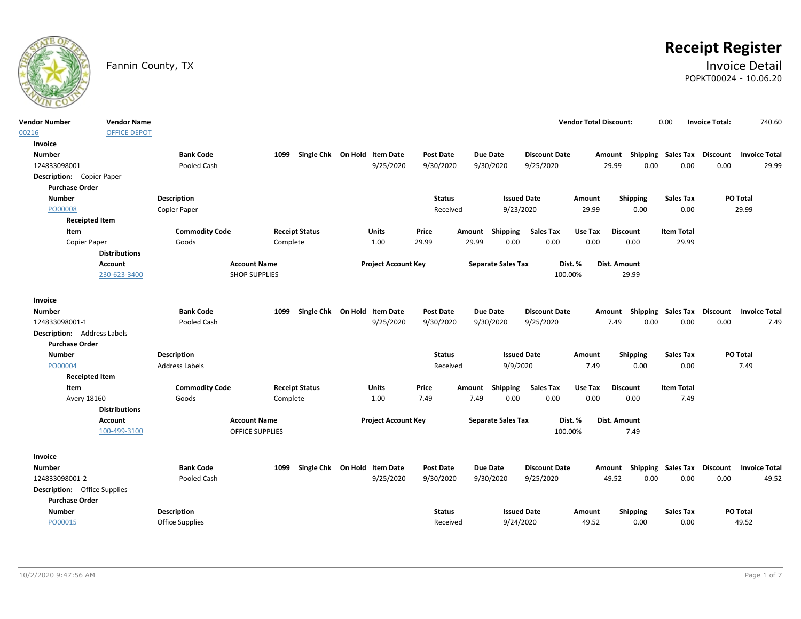

# **Receipt Register**

# Fannin County, TX **Invoice Detail** POPKT00024 - 10.06.20

| <b>Vendor Number</b>                | <b>Vendor Name</b>   |                                      |                        |          |                              |                            |                  |        |           |                                |                      | <b>Vendor Total Discount:</b> |                 |                  | 0.00                      | <b>Invoice Total:</b> | 740.60                                           |      |
|-------------------------------------|----------------------|--------------------------------------|------------------------|----------|------------------------------|----------------------------|------------------|--------|-----------|--------------------------------|----------------------|-------------------------------|-----------------|------------------|---------------------------|-----------------------|--------------------------------------------------|------|
| 00216                               | <b>OFFICE DEPOT</b>  |                                      |                        |          |                              |                            |                  |        |           |                                |                      |                               |                 |                  |                           |                       |                                                  |      |
| Invoice                             |                      |                                      |                        |          |                              |                            |                  |        |           |                                |                      |                               |                 |                  |                           |                       |                                                  |      |
| <b>Number</b>                       |                      | <b>Bank Code</b>                     |                        | 1099     | Single Chk On Hold Item Date |                            | <b>Post Date</b> |        | Due Date  |                                | <b>Discount Date</b> |                               | Amount          |                  | Shipping Sales Tax        | <b>Discount</b>       | <b>Invoice Total</b>                             |      |
| 124833098001                        |                      | Pooled Cash                          |                        |          |                              | 9/25/2020                  | 9/30/2020        |        | 9/30/2020 |                                | 9/25/2020            |                               | 29.99           | 0.00             | 0.00                      | 0.00                  | 29.99                                            |      |
| Description: Copier Paper           |                      |                                      |                        |          |                              |                            |                  |        |           |                                |                      |                               |                 |                  |                           |                       |                                                  |      |
| <b>Purchase Order</b>               |                      |                                      |                        |          |                              |                            |                  |        |           |                                |                      |                               |                 |                  |                           |                       |                                                  |      |
| <b>Number</b>                       |                      | <b>Description</b>                   |                        |          |                              |                            | <b>Status</b>    |        |           | <b>Issued Date</b>             |                      | Amount                        |                 | Shipping         | <b>Sales Tax</b>          |                       | PO Total                                         |      |
| PO00008                             |                      | Copier Paper                         |                        |          |                              |                            | Received         |        |           | 9/23/2020                      |                      | 29.99                         |                 | 0.00             | 0.00                      |                       | 29.99                                            |      |
| <b>Receipted Item</b>               |                      |                                      |                        |          |                              |                            |                  |        |           |                                |                      |                               |                 |                  |                           |                       |                                                  |      |
| Item                                |                      | <b>Commodity Code</b>                |                        |          | <b>Receipt Status</b>        | Units                      | Price            | Amount |           | Shipping                       | <b>Sales Tax</b>     | Use Tax                       | <b>Discount</b> |                  | <b>Item Total</b>         |                       |                                                  |      |
| Copier Paper                        |                      | Goods                                |                        | Complete |                              | 1.00                       | 29.99            | 29.99  |           | 0.00                           | 0.00                 | 0.00                          |                 | 0.00             | 29.99                     |                       |                                                  |      |
|                                     | <b>Distributions</b> |                                      |                        |          |                              |                            |                  |        |           |                                |                      |                               |                 |                  |                           |                       |                                                  |      |
|                                     | Account              |                                      | <b>Account Name</b>    |          |                              | <b>Project Account Key</b> |                  |        |           | <b>Separate Sales Tax</b>      |                      | Dist. %                       | Dist. Amount    |                  |                           |                       |                                                  |      |
|                                     | 230-623-3400         |                                      | <b>SHOP SUPPLIES</b>   |          |                              |                            |                  |        |           |                                | 100.00%              |                               |                 | 29.99            |                           |                       |                                                  |      |
|                                     |                      |                                      |                        |          |                              |                            |                  |        |           |                                |                      |                               |                 |                  |                           |                       |                                                  |      |
| Invoice                             |                      |                                      |                        |          |                              |                            |                  |        |           |                                |                      |                               |                 |                  |                           |                       |                                                  |      |
| <b>Number</b>                       |                      | <b>Bank Code</b>                     |                        | 1099     | Single Chk On Hold Item Date |                            | <b>Post Date</b> |        | Due Date  |                                | <b>Discount Date</b> |                               |                 |                  |                           |                       | Amount Shipping Sales Tax Discount Invoice Total |      |
| 124833098001-1                      |                      | Pooled Cash                          |                        |          |                              | 9/25/2020                  | 9/30/2020        |        | 9/30/2020 |                                | 9/25/2020            |                               | 7.49            | 0.00             | 0.00                      | 0.00                  |                                                  | 7.49 |
| <b>Description:</b> Address Labels  |                      |                                      |                        |          |                              |                            |                  |        |           |                                |                      |                               |                 |                  |                           |                       |                                                  |      |
| <b>Purchase Order</b>               |                      |                                      |                        |          |                              |                            |                  |        |           |                                |                      |                               |                 |                  |                           |                       |                                                  |      |
| <b>Number</b><br>PO00004            |                      | Description<br><b>Address Labels</b> |                        |          |                              |                            | <b>Status</b>    |        |           | <b>Issued Date</b><br>9/9/2020 |                      | Amount<br>7.49                |                 | Shipping<br>0.00 | Sales Tax<br>0.00         |                       | PO Total<br>7.49                                 |      |
| <b>Receipted Item</b>               |                      |                                      |                        |          |                              |                            | Received         |        |           |                                |                      |                               |                 |                  |                           |                       |                                                  |      |
| Item                                |                      | <b>Commodity Code</b>                |                        |          | <b>Receipt Status</b>        | <b>Units</b>               | Price            | Amount |           | <b>Shipping</b>                | <b>Sales Tax</b>     | Use Tax                       | <b>Discount</b> |                  | <b>Item Total</b>         |                       |                                                  |      |
| Avery 18160                         |                      | Goods                                |                        | Complete |                              | 1.00                       | 7.49             | 7.49   |           | 0.00                           | 0.00                 | 0.00                          |                 | 0.00             | 7.49                      |                       |                                                  |      |
|                                     | <b>Distributions</b> |                                      |                        |          |                              |                            |                  |        |           |                                |                      |                               |                 |                  |                           |                       |                                                  |      |
|                                     | Account              |                                      | <b>Account Name</b>    |          |                              | <b>Project Account Key</b> |                  |        |           | <b>Separate Sales Tax</b>      |                      | Dist. %                       | Dist. Amount    |                  |                           |                       |                                                  |      |
|                                     | 100-499-3100         |                                      | <b>OFFICE SUPPLIES</b> |          |                              |                            |                  |        |           |                                | 100.00%              |                               |                 | 7.49             |                           |                       |                                                  |      |
|                                     |                      |                                      |                        |          |                              |                            |                  |        |           |                                |                      |                               |                 |                  |                           |                       |                                                  |      |
| Invoice                             |                      |                                      |                        |          |                              |                            |                  |        |           |                                |                      |                               |                 |                  |                           |                       |                                                  |      |
| <b>Number</b>                       |                      | <b>Bank Code</b>                     |                        | 1099     | Single Chk On Hold Item Date |                            | <b>Post Date</b> |        | Due Date  |                                | <b>Discount Date</b> |                               |                 |                  | Amount Shipping Sales Tax |                       | Discount Invoice Total                           |      |
| 124833098001-2                      |                      | Pooled Cash                          |                        |          |                              | 9/25/2020                  | 9/30/2020        |        | 9/30/2020 |                                | 9/25/2020            |                               | 49.52           | 0.00             | 0.00                      | 0.00                  | 49.52                                            |      |
| <b>Description:</b> Office Supplies |                      |                                      |                        |          |                              |                            |                  |        |           |                                |                      |                               |                 |                  |                           |                       |                                                  |      |
| <b>Purchase Order</b>               |                      |                                      |                        |          |                              |                            |                  |        |           |                                |                      |                               |                 |                  |                           |                       |                                                  |      |
| <b>Number</b>                       |                      | <b>Description</b>                   |                        |          |                              |                            | <b>Status</b>    |        |           | <b>Issued Date</b>             |                      | Amount                        |                 | <b>Shipping</b>  | Sales Tax                 |                       | PO Total                                         |      |
| PO00015                             |                      | Office Supplies                      |                        |          |                              |                            | Received         |        |           | 9/24/2020                      |                      | 49.52                         |                 | 0.00             | 0.00                      |                       | 49.52                                            |      |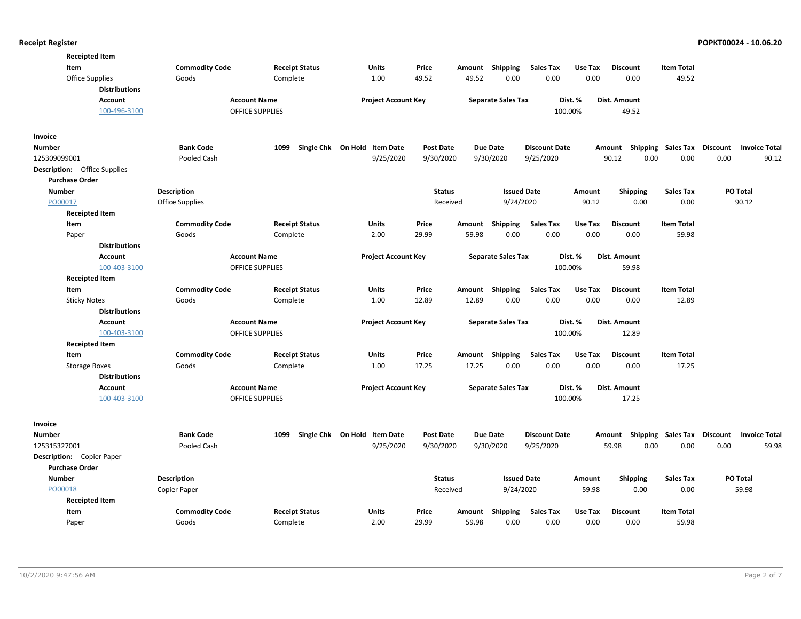| <b>Receipted Item</b>               |                       |                        |                              |                  |        |                           |                      |         |                    |                   |                                         |
|-------------------------------------|-----------------------|------------------------|------------------------------|------------------|--------|---------------------------|----------------------|---------|--------------------|-------------------|-----------------------------------------|
| Item                                | <b>Commodity Code</b> | <b>Receipt Status</b>  | Units                        | Price            | Amount | <b>Shipping</b>           | <b>Sales Tax</b>     | Use Tax | <b>Discount</b>    | <b>Item Total</b> |                                         |
| Office Supplies                     | Goods                 | Complete               | 1.00                         | 49.52            | 49.52  | 0.00                      | 0.00                 | 0.00    | 0.00               | 49.52             |                                         |
| <b>Distributions</b>                |                       |                        |                              |                  |        |                           |                      |         |                    |                   |                                         |
| Account                             | <b>Account Name</b>   |                        | <b>Project Account Key</b>   |                  |        | <b>Separate Sales Tax</b> |                      | Dist. % | Dist. Amount       |                   |                                         |
| 100-496-3100                        |                       | <b>OFFICE SUPPLIES</b> |                              |                  |        |                           |                      | 100.00% | 49.52              |                   |                                         |
|                                     |                       |                        |                              |                  |        |                           |                      |         |                    |                   |                                         |
| Invoice                             |                       |                        |                              |                  |        |                           |                      |         |                    |                   |                                         |
| <b>Number</b>                       | <b>Bank Code</b>      | 1099                   | Single Chk On Hold Item Date | <b>Post Date</b> |        | <b>Due Date</b>           | <b>Discount Date</b> |         | Amount Shipping    | Sales Tax         | Discount<br><b>Invoice Total</b>        |
| 125309099001                        | Pooled Cash           |                        | 9/25/2020                    | 9/30/2020        |        | 9/30/2020                 | 9/25/2020            |         | 90.12<br>0.00      | 0.00              | 0.00<br>90.12                           |
| <b>Description:</b> Office Supplies |                       |                        |                              |                  |        |                           |                      |         |                    |                   |                                         |
| <b>Purchase Order</b>               |                       |                        |                              |                  |        |                           |                      |         |                    |                   |                                         |
| <b>Number</b>                       | Description           |                        |                              | <b>Status</b>    |        | <b>Issued Date</b>        |                      | Amount  | <b>Shipping</b>    | <b>Sales Tax</b>  | PO Total                                |
| PO00017                             | Office Supplies       |                        |                              | Received         |        | 9/24/2020                 |                      | 90.12   | 0.00               | 0.00              | 90.12                                   |
| <b>Receipted Item</b>               |                       |                        |                              |                  |        |                           |                      |         |                    |                   |                                         |
| Item                                | <b>Commodity Code</b> | <b>Receipt Status</b>  | Units                        | Price            | Amount | <b>Shipping</b>           | <b>Sales Tax</b>     | Use Tax | <b>Discount</b>    | <b>Item Total</b> |                                         |
| Paper                               | Goods                 | Complete               | 2.00                         | 29.99            | 59.98  | 0.00                      | 0.00                 | 0.00    | 0.00               | 59.98             |                                         |
| <b>Distributions</b>                |                       |                        |                              |                  |        |                           |                      |         |                    |                   |                                         |
| <b>Account</b>                      | <b>Account Name</b>   |                        | <b>Project Account Key</b>   |                  |        | <b>Separate Sales Tax</b> |                      | Dist. % | Dist. Amount       |                   |                                         |
| 100-403-3100                        |                       | <b>OFFICE SUPPLIES</b> |                              |                  |        |                           |                      | 100.00% | 59.98              |                   |                                         |
| <b>Receipted Item</b>               |                       |                        |                              |                  |        |                           |                      |         |                    |                   |                                         |
| Item                                | <b>Commodity Code</b> | <b>Receipt Status</b>  | <b>Units</b>                 | Price            |        | Amount Shipping           | <b>Sales Tax</b>     | Use Tax | <b>Discount</b>    | <b>Item Total</b> |                                         |
| <b>Sticky Notes</b>                 | Goods                 | Complete               | 1.00                         | 12.89            | 12.89  | 0.00                      | 0.00                 | 0.00    | 0.00               | 12.89             |                                         |
| <b>Distributions</b>                |                       |                        |                              |                  |        |                           |                      |         |                    |                   |                                         |
| <b>Account</b>                      | <b>Account Name</b>   |                        | <b>Project Account Key</b>   |                  |        | <b>Separate Sales Tax</b> |                      | Dist. % | Dist. Amount       |                   |                                         |
| 100-403-3100                        |                       | <b>OFFICE SUPPLIES</b> |                              |                  |        |                           |                      | 100.00% | 12.89              |                   |                                         |
| <b>Receipted Item</b>               |                       |                        |                              |                  |        |                           |                      |         |                    |                   |                                         |
| Item                                | <b>Commodity Code</b> | <b>Receipt Status</b>  | Units                        | Price            |        | Amount Shipping           | <b>Sales Tax</b>     | Use Tax | <b>Discount</b>    | <b>Item Total</b> |                                         |
| <b>Storage Boxes</b>                | Goods                 | Complete               | 1.00                         | 17.25            | 17.25  | 0.00                      | 0.00                 | 0.00    | 0.00               | 17.25             |                                         |
| <b>Distributions</b>                |                       |                        |                              |                  |        |                           |                      |         |                    |                   |                                         |
| <b>Account</b>                      | <b>Account Name</b>   |                        | <b>Project Account Key</b>   |                  |        | <b>Separate Sales Tax</b> |                      | Dist. % | Dist. Amount       |                   |                                         |
| 100-403-3100                        |                       | <b>OFFICE SUPPLIES</b> |                              |                  |        |                           |                      | 100.00% | 17.25              |                   |                                         |
|                                     |                       |                        |                              |                  |        |                           |                      |         |                    |                   |                                         |
| Invoice                             |                       |                        |                              |                  |        |                           |                      |         |                    |                   |                                         |
| <b>Number</b>                       | <b>Bank Code</b>      | 1099                   | Single Chk On Hold Item Date | <b>Post Date</b> |        | <b>Due Date</b>           | <b>Discount Date</b> |         | Shipping<br>Amount | Sales Tax         | <b>Discount</b><br><b>Invoice Total</b> |
| 125315327001                        | Pooled Cash           |                        | 9/25/2020                    | 9/30/2020        |        | 9/30/2020                 | 9/25/2020            |         | 0.00<br>59.98      | 0.00              | 0.00<br>59.98                           |
| Description: Copier Paper           |                       |                        |                              |                  |        |                           |                      |         |                    |                   |                                         |
| <b>Purchase Order</b>               |                       |                        |                              |                  |        |                           |                      |         |                    |                   |                                         |
| <b>Number</b>                       | Description           |                        |                              | <b>Status</b>    |        | <b>Issued Date</b>        |                      | Amount  | <b>Shipping</b>    | <b>Sales Tax</b>  | PO Total                                |
| PO00018                             | Copier Paper          |                        |                              | Received         |        | 9/24/2020                 |                      | 59.98   | 0.00               | 0.00              | 59.98                                   |
| <b>Receipted Item</b>               |                       |                        |                              |                  |        |                           |                      |         |                    |                   |                                         |
| Item                                | <b>Commodity Code</b> | <b>Receipt Status</b>  | Units                        | Price            | Amount | <b>Shipping</b>           | <b>Sales Tax</b>     | Use Tax | <b>Discount</b>    | <b>Item Total</b> |                                         |
| Paper                               | Goods                 | Complete               | 2.00                         | 29.99            | 59.98  | 0.00                      | 0.00                 | 0.00    | 0.00               | 59.98             |                                         |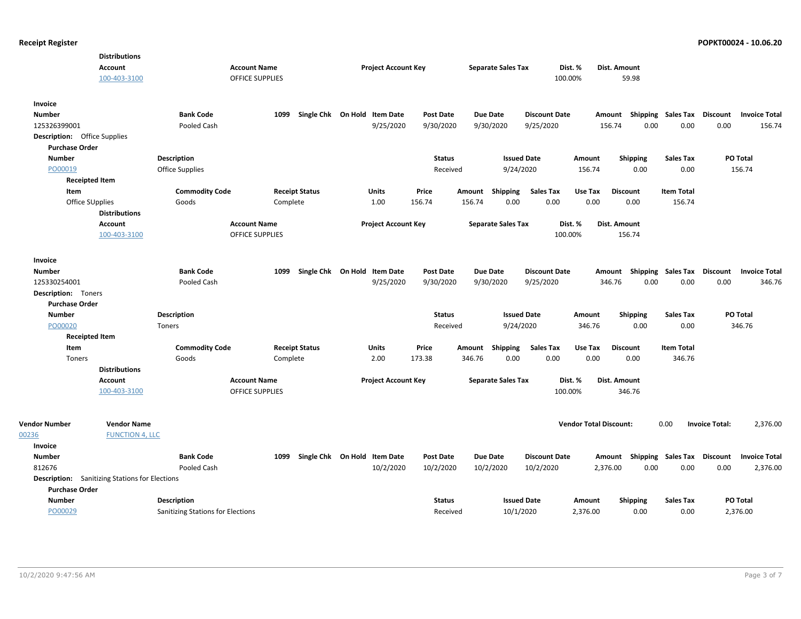| Account<br><b>Account Name</b><br><b>Project Account Key</b><br><b>Separate Sales Tax</b><br>Dist. %<br>Dist. Amount<br>100-403-3100<br><b>OFFICE SUPPLIES</b><br>100.00%<br>59.98<br>Invoice<br><b>Number</b><br><b>Bank Code</b><br>1099<br>Single Chk On Hold Item Date<br><b>Post Date</b><br><b>Due Date</b><br><b>Discount Date</b><br><b>Shipping Sales Tax</b><br>Discount<br><b>Invoice Total</b><br>Amount<br>9/30/2020<br>0.00<br>0.00<br>125326399001<br>Pooled Cash<br>9/25/2020<br>9/30/2020<br>9/25/2020<br>156.74<br>0.00<br>156.74<br><b>Description:</b> Office Supplies<br><b>Purchase Order</b><br><b>Number</b><br><b>Status</b><br>PO Total<br><b>Description</b><br><b>Issued Date</b><br>Amount<br><b>Shipping</b><br><b>Sales Tax</b><br>PO00019<br><b>Office Supplies</b><br>Received<br>9/24/2020<br>156.74<br>0.00<br>0.00<br>156.74<br><b>Receipted Item</b><br>Item<br><b>Commodity Code</b><br><b>Receipt Status</b><br><b>Units</b><br>Price<br>Shipping<br><b>Sales Tax</b><br>Use Tax<br><b>Discount</b><br><b>Item Total</b><br>Amount<br>0.00<br>Office SUpplies<br>Complete<br>1.00<br>156.74<br>156.74<br>0.00<br>0.00<br>0.00<br>156.74<br>Goods<br><b>Distributions</b><br><b>Account Name</b><br><b>Separate Sales Tax</b><br>Account<br><b>Project Account Key</b><br>Dist. %<br>Dist. Amount<br>100-403-3100<br><b>OFFICE SUPPLIES</b><br>100.00%<br>156.74<br>Invoice<br><b>Bank Code</b><br>Single Chk On Hold Item Date<br><b>Number</b><br>1099<br><b>Post Date</b><br><b>Due Date</b><br><b>Discount Date</b><br>Amount Shipping Sales Tax<br>Discount<br><b>Invoice Total</b><br>125330254001<br>Pooled Cash<br>9/25/2020<br>9/30/2020<br>9/30/2020<br>9/25/2020<br>346.76<br>0.00<br>0.00<br>0.00<br>346.76<br><b>Description:</b> Toners<br><b>Purchase Order</b><br><b>Number</b><br><b>Description</b><br><b>Status</b><br><b>Issued Date</b><br>Shipping<br><b>Sales Tax</b><br>PO Total<br>Amount<br>PO00020<br>Received<br>9/24/2020<br>346.76<br>0.00<br>0.00<br>346.76<br>Toners<br><b>Receipted Item</b><br>Item<br><b>Commodity Code</b><br>Price<br><b>Sales Tax</b><br>Use Tax<br><b>Discount</b><br><b>Item Total</b><br><b>Receipt Status</b><br>Units<br>Amount Shipping<br>173.38<br>346.76<br>0.00<br>0.00<br>0.00<br>0.00<br>346.76<br>Toners<br>Goods<br>Complete<br>2.00<br><b>Distributions</b><br>Account<br><b>Account Name</b><br><b>Project Account Key</b><br><b>Separate Sales Tax</b><br>Dist. %<br>Dist. Amount<br>100-403-3100<br><b>OFFICE SUPPLIES</b><br>100.00%<br>346.76<br><b>Vendor Number</b><br><b>Vendor Total Discount:</b><br>2,376.00<br><b>Vendor Name</b><br>0.00<br><b>Invoice Total:</b><br>00236<br><b>FUNCTION 4, LLC</b><br>Invoice<br><b>Number</b><br><b>Bank Code</b><br>Single Chk On Hold Item Date<br><b>Post Date</b><br><b>Due Date</b><br><b>Discount Date</b><br>Amount Shipping Sales Tax Discount<br><b>Invoice Total</b><br>1099<br>10/2/2020<br>812676<br>Pooled Cash<br>10/2/2020<br>10/2/2020<br>10/2/2020<br>2,376.00<br>0.00<br>0.00<br>0.00<br>2,376.00<br><b>Description:</b> Sanitizing Stations for Elections<br><b>Purchase Order</b><br><b>Number</b><br><b>Description</b><br><b>Status</b><br><b>Issued Date</b><br><b>Shipping</b><br><b>Sales Tax</b><br>PO Total<br>Amount<br>10/1/2020<br>Sanitizing Stations for Elections<br>Received<br>2,376.00 |         | <b>Distributions</b> |  |  |  |  |          |      |      |  |
|---------------------------------------------------------------------------------------------------------------------------------------------------------------------------------------------------------------------------------------------------------------------------------------------------------------------------------------------------------------------------------------------------------------------------------------------------------------------------------------------------------------------------------------------------------------------------------------------------------------------------------------------------------------------------------------------------------------------------------------------------------------------------------------------------------------------------------------------------------------------------------------------------------------------------------------------------------------------------------------------------------------------------------------------------------------------------------------------------------------------------------------------------------------------------------------------------------------------------------------------------------------------------------------------------------------------------------------------------------------------------------------------------------------------------------------------------------------------------------------------------------------------------------------------------------------------------------------------------------------------------------------------------------------------------------------------------------------------------------------------------------------------------------------------------------------------------------------------------------------------------------------------------------------------------------------------------------------------------------------------------------------------------------------------------------------------------------------------------------------------------------------------------------------------------------------------------------------------------------------------------------------------------------------------------------------------------------------------------------------------------------------------------------------------------------------------------------------------------------------------------------------------------------------------------------------------------------------------------------------------------------------------------------------------------------------------------------------------------------------------------------------------------------------------------------------------------------------------------------------------------------------------------------------------------------------------------------------------------------------------------------------------------------------------------------------------------------------------------------------------------------------------------------------------------------------------------------------------------------------------------------------------------------------------------------------------------------------------------------------------------------------|---------|----------------------|--|--|--|--|----------|------|------|--|
|                                                                                                                                                                                                                                                                                                                                                                                                                                                                                                                                                                                                                                                                                                                                                                                                                                                                                                                                                                                                                                                                                                                                                                                                                                                                                                                                                                                                                                                                                                                                                                                                                                                                                                                                                                                                                                                                                                                                                                                                                                                                                                                                                                                                                                                                                                                                                                                                                                                                                                                                                                                                                                                                                                                                                                                                                                                                                                                                                                                                                                                                                                                                                                                                                                                                                                                                                                                       |         |                      |  |  |  |  |          |      |      |  |
|                                                                                                                                                                                                                                                                                                                                                                                                                                                                                                                                                                                                                                                                                                                                                                                                                                                                                                                                                                                                                                                                                                                                                                                                                                                                                                                                                                                                                                                                                                                                                                                                                                                                                                                                                                                                                                                                                                                                                                                                                                                                                                                                                                                                                                                                                                                                                                                                                                                                                                                                                                                                                                                                                                                                                                                                                                                                                                                                                                                                                                                                                                                                                                                                                                                                                                                                                                                       |         |                      |  |  |  |  |          |      |      |  |
|                                                                                                                                                                                                                                                                                                                                                                                                                                                                                                                                                                                                                                                                                                                                                                                                                                                                                                                                                                                                                                                                                                                                                                                                                                                                                                                                                                                                                                                                                                                                                                                                                                                                                                                                                                                                                                                                                                                                                                                                                                                                                                                                                                                                                                                                                                                                                                                                                                                                                                                                                                                                                                                                                                                                                                                                                                                                                                                                                                                                                                                                                                                                                                                                                                                                                                                                                                                       |         |                      |  |  |  |  |          |      |      |  |
|                                                                                                                                                                                                                                                                                                                                                                                                                                                                                                                                                                                                                                                                                                                                                                                                                                                                                                                                                                                                                                                                                                                                                                                                                                                                                                                                                                                                                                                                                                                                                                                                                                                                                                                                                                                                                                                                                                                                                                                                                                                                                                                                                                                                                                                                                                                                                                                                                                                                                                                                                                                                                                                                                                                                                                                                                                                                                                                                                                                                                                                                                                                                                                                                                                                                                                                                                                                       |         |                      |  |  |  |  |          |      |      |  |
|                                                                                                                                                                                                                                                                                                                                                                                                                                                                                                                                                                                                                                                                                                                                                                                                                                                                                                                                                                                                                                                                                                                                                                                                                                                                                                                                                                                                                                                                                                                                                                                                                                                                                                                                                                                                                                                                                                                                                                                                                                                                                                                                                                                                                                                                                                                                                                                                                                                                                                                                                                                                                                                                                                                                                                                                                                                                                                                                                                                                                                                                                                                                                                                                                                                                                                                                                                                       |         |                      |  |  |  |  |          |      |      |  |
|                                                                                                                                                                                                                                                                                                                                                                                                                                                                                                                                                                                                                                                                                                                                                                                                                                                                                                                                                                                                                                                                                                                                                                                                                                                                                                                                                                                                                                                                                                                                                                                                                                                                                                                                                                                                                                                                                                                                                                                                                                                                                                                                                                                                                                                                                                                                                                                                                                                                                                                                                                                                                                                                                                                                                                                                                                                                                                                                                                                                                                                                                                                                                                                                                                                                                                                                                                                       |         |                      |  |  |  |  |          |      |      |  |
|                                                                                                                                                                                                                                                                                                                                                                                                                                                                                                                                                                                                                                                                                                                                                                                                                                                                                                                                                                                                                                                                                                                                                                                                                                                                                                                                                                                                                                                                                                                                                                                                                                                                                                                                                                                                                                                                                                                                                                                                                                                                                                                                                                                                                                                                                                                                                                                                                                                                                                                                                                                                                                                                                                                                                                                                                                                                                                                                                                                                                                                                                                                                                                                                                                                                                                                                                                                       |         |                      |  |  |  |  |          |      |      |  |
|                                                                                                                                                                                                                                                                                                                                                                                                                                                                                                                                                                                                                                                                                                                                                                                                                                                                                                                                                                                                                                                                                                                                                                                                                                                                                                                                                                                                                                                                                                                                                                                                                                                                                                                                                                                                                                                                                                                                                                                                                                                                                                                                                                                                                                                                                                                                                                                                                                                                                                                                                                                                                                                                                                                                                                                                                                                                                                                                                                                                                                                                                                                                                                                                                                                                                                                                                                                       |         |                      |  |  |  |  |          |      |      |  |
|                                                                                                                                                                                                                                                                                                                                                                                                                                                                                                                                                                                                                                                                                                                                                                                                                                                                                                                                                                                                                                                                                                                                                                                                                                                                                                                                                                                                                                                                                                                                                                                                                                                                                                                                                                                                                                                                                                                                                                                                                                                                                                                                                                                                                                                                                                                                                                                                                                                                                                                                                                                                                                                                                                                                                                                                                                                                                                                                                                                                                                                                                                                                                                                                                                                                                                                                                                                       |         |                      |  |  |  |  |          |      |      |  |
|                                                                                                                                                                                                                                                                                                                                                                                                                                                                                                                                                                                                                                                                                                                                                                                                                                                                                                                                                                                                                                                                                                                                                                                                                                                                                                                                                                                                                                                                                                                                                                                                                                                                                                                                                                                                                                                                                                                                                                                                                                                                                                                                                                                                                                                                                                                                                                                                                                                                                                                                                                                                                                                                                                                                                                                                                                                                                                                                                                                                                                                                                                                                                                                                                                                                                                                                                                                       |         |                      |  |  |  |  |          |      |      |  |
|                                                                                                                                                                                                                                                                                                                                                                                                                                                                                                                                                                                                                                                                                                                                                                                                                                                                                                                                                                                                                                                                                                                                                                                                                                                                                                                                                                                                                                                                                                                                                                                                                                                                                                                                                                                                                                                                                                                                                                                                                                                                                                                                                                                                                                                                                                                                                                                                                                                                                                                                                                                                                                                                                                                                                                                                                                                                                                                                                                                                                                                                                                                                                                                                                                                                                                                                                                                       |         |                      |  |  |  |  |          |      |      |  |
|                                                                                                                                                                                                                                                                                                                                                                                                                                                                                                                                                                                                                                                                                                                                                                                                                                                                                                                                                                                                                                                                                                                                                                                                                                                                                                                                                                                                                                                                                                                                                                                                                                                                                                                                                                                                                                                                                                                                                                                                                                                                                                                                                                                                                                                                                                                                                                                                                                                                                                                                                                                                                                                                                                                                                                                                                                                                                                                                                                                                                                                                                                                                                                                                                                                                                                                                                                                       |         |                      |  |  |  |  |          |      |      |  |
|                                                                                                                                                                                                                                                                                                                                                                                                                                                                                                                                                                                                                                                                                                                                                                                                                                                                                                                                                                                                                                                                                                                                                                                                                                                                                                                                                                                                                                                                                                                                                                                                                                                                                                                                                                                                                                                                                                                                                                                                                                                                                                                                                                                                                                                                                                                                                                                                                                                                                                                                                                                                                                                                                                                                                                                                                                                                                                                                                                                                                                                                                                                                                                                                                                                                                                                                                                                       |         |                      |  |  |  |  |          |      |      |  |
|                                                                                                                                                                                                                                                                                                                                                                                                                                                                                                                                                                                                                                                                                                                                                                                                                                                                                                                                                                                                                                                                                                                                                                                                                                                                                                                                                                                                                                                                                                                                                                                                                                                                                                                                                                                                                                                                                                                                                                                                                                                                                                                                                                                                                                                                                                                                                                                                                                                                                                                                                                                                                                                                                                                                                                                                                                                                                                                                                                                                                                                                                                                                                                                                                                                                                                                                                                                       |         |                      |  |  |  |  |          |      |      |  |
|                                                                                                                                                                                                                                                                                                                                                                                                                                                                                                                                                                                                                                                                                                                                                                                                                                                                                                                                                                                                                                                                                                                                                                                                                                                                                                                                                                                                                                                                                                                                                                                                                                                                                                                                                                                                                                                                                                                                                                                                                                                                                                                                                                                                                                                                                                                                                                                                                                                                                                                                                                                                                                                                                                                                                                                                                                                                                                                                                                                                                                                                                                                                                                                                                                                                                                                                                                                       |         |                      |  |  |  |  |          |      |      |  |
|                                                                                                                                                                                                                                                                                                                                                                                                                                                                                                                                                                                                                                                                                                                                                                                                                                                                                                                                                                                                                                                                                                                                                                                                                                                                                                                                                                                                                                                                                                                                                                                                                                                                                                                                                                                                                                                                                                                                                                                                                                                                                                                                                                                                                                                                                                                                                                                                                                                                                                                                                                                                                                                                                                                                                                                                                                                                                                                                                                                                                                                                                                                                                                                                                                                                                                                                                                                       |         |                      |  |  |  |  |          |      |      |  |
|                                                                                                                                                                                                                                                                                                                                                                                                                                                                                                                                                                                                                                                                                                                                                                                                                                                                                                                                                                                                                                                                                                                                                                                                                                                                                                                                                                                                                                                                                                                                                                                                                                                                                                                                                                                                                                                                                                                                                                                                                                                                                                                                                                                                                                                                                                                                                                                                                                                                                                                                                                                                                                                                                                                                                                                                                                                                                                                                                                                                                                                                                                                                                                                                                                                                                                                                                                                       |         |                      |  |  |  |  |          |      |      |  |
|                                                                                                                                                                                                                                                                                                                                                                                                                                                                                                                                                                                                                                                                                                                                                                                                                                                                                                                                                                                                                                                                                                                                                                                                                                                                                                                                                                                                                                                                                                                                                                                                                                                                                                                                                                                                                                                                                                                                                                                                                                                                                                                                                                                                                                                                                                                                                                                                                                                                                                                                                                                                                                                                                                                                                                                                                                                                                                                                                                                                                                                                                                                                                                                                                                                                                                                                                                                       |         |                      |  |  |  |  |          |      |      |  |
|                                                                                                                                                                                                                                                                                                                                                                                                                                                                                                                                                                                                                                                                                                                                                                                                                                                                                                                                                                                                                                                                                                                                                                                                                                                                                                                                                                                                                                                                                                                                                                                                                                                                                                                                                                                                                                                                                                                                                                                                                                                                                                                                                                                                                                                                                                                                                                                                                                                                                                                                                                                                                                                                                                                                                                                                                                                                                                                                                                                                                                                                                                                                                                                                                                                                                                                                                                                       |         |                      |  |  |  |  |          |      |      |  |
|                                                                                                                                                                                                                                                                                                                                                                                                                                                                                                                                                                                                                                                                                                                                                                                                                                                                                                                                                                                                                                                                                                                                                                                                                                                                                                                                                                                                                                                                                                                                                                                                                                                                                                                                                                                                                                                                                                                                                                                                                                                                                                                                                                                                                                                                                                                                                                                                                                                                                                                                                                                                                                                                                                                                                                                                                                                                                                                                                                                                                                                                                                                                                                                                                                                                                                                                                                                       |         |                      |  |  |  |  |          |      |      |  |
|                                                                                                                                                                                                                                                                                                                                                                                                                                                                                                                                                                                                                                                                                                                                                                                                                                                                                                                                                                                                                                                                                                                                                                                                                                                                                                                                                                                                                                                                                                                                                                                                                                                                                                                                                                                                                                                                                                                                                                                                                                                                                                                                                                                                                                                                                                                                                                                                                                                                                                                                                                                                                                                                                                                                                                                                                                                                                                                                                                                                                                                                                                                                                                                                                                                                                                                                                                                       |         |                      |  |  |  |  |          |      |      |  |
|                                                                                                                                                                                                                                                                                                                                                                                                                                                                                                                                                                                                                                                                                                                                                                                                                                                                                                                                                                                                                                                                                                                                                                                                                                                                                                                                                                                                                                                                                                                                                                                                                                                                                                                                                                                                                                                                                                                                                                                                                                                                                                                                                                                                                                                                                                                                                                                                                                                                                                                                                                                                                                                                                                                                                                                                                                                                                                                                                                                                                                                                                                                                                                                                                                                                                                                                                                                       |         |                      |  |  |  |  |          |      |      |  |
|                                                                                                                                                                                                                                                                                                                                                                                                                                                                                                                                                                                                                                                                                                                                                                                                                                                                                                                                                                                                                                                                                                                                                                                                                                                                                                                                                                                                                                                                                                                                                                                                                                                                                                                                                                                                                                                                                                                                                                                                                                                                                                                                                                                                                                                                                                                                                                                                                                                                                                                                                                                                                                                                                                                                                                                                                                                                                                                                                                                                                                                                                                                                                                                                                                                                                                                                                                                       |         |                      |  |  |  |  |          |      |      |  |
|                                                                                                                                                                                                                                                                                                                                                                                                                                                                                                                                                                                                                                                                                                                                                                                                                                                                                                                                                                                                                                                                                                                                                                                                                                                                                                                                                                                                                                                                                                                                                                                                                                                                                                                                                                                                                                                                                                                                                                                                                                                                                                                                                                                                                                                                                                                                                                                                                                                                                                                                                                                                                                                                                                                                                                                                                                                                                                                                                                                                                                                                                                                                                                                                                                                                                                                                                                                       |         |                      |  |  |  |  |          |      |      |  |
|                                                                                                                                                                                                                                                                                                                                                                                                                                                                                                                                                                                                                                                                                                                                                                                                                                                                                                                                                                                                                                                                                                                                                                                                                                                                                                                                                                                                                                                                                                                                                                                                                                                                                                                                                                                                                                                                                                                                                                                                                                                                                                                                                                                                                                                                                                                                                                                                                                                                                                                                                                                                                                                                                                                                                                                                                                                                                                                                                                                                                                                                                                                                                                                                                                                                                                                                                                                       |         |                      |  |  |  |  |          |      |      |  |
|                                                                                                                                                                                                                                                                                                                                                                                                                                                                                                                                                                                                                                                                                                                                                                                                                                                                                                                                                                                                                                                                                                                                                                                                                                                                                                                                                                                                                                                                                                                                                                                                                                                                                                                                                                                                                                                                                                                                                                                                                                                                                                                                                                                                                                                                                                                                                                                                                                                                                                                                                                                                                                                                                                                                                                                                                                                                                                                                                                                                                                                                                                                                                                                                                                                                                                                                                                                       |         |                      |  |  |  |  |          |      |      |  |
|                                                                                                                                                                                                                                                                                                                                                                                                                                                                                                                                                                                                                                                                                                                                                                                                                                                                                                                                                                                                                                                                                                                                                                                                                                                                                                                                                                                                                                                                                                                                                                                                                                                                                                                                                                                                                                                                                                                                                                                                                                                                                                                                                                                                                                                                                                                                                                                                                                                                                                                                                                                                                                                                                                                                                                                                                                                                                                                                                                                                                                                                                                                                                                                                                                                                                                                                                                                       |         |                      |  |  |  |  |          |      |      |  |
|                                                                                                                                                                                                                                                                                                                                                                                                                                                                                                                                                                                                                                                                                                                                                                                                                                                                                                                                                                                                                                                                                                                                                                                                                                                                                                                                                                                                                                                                                                                                                                                                                                                                                                                                                                                                                                                                                                                                                                                                                                                                                                                                                                                                                                                                                                                                                                                                                                                                                                                                                                                                                                                                                                                                                                                                                                                                                                                                                                                                                                                                                                                                                                                                                                                                                                                                                                                       |         |                      |  |  |  |  |          |      |      |  |
|                                                                                                                                                                                                                                                                                                                                                                                                                                                                                                                                                                                                                                                                                                                                                                                                                                                                                                                                                                                                                                                                                                                                                                                                                                                                                                                                                                                                                                                                                                                                                                                                                                                                                                                                                                                                                                                                                                                                                                                                                                                                                                                                                                                                                                                                                                                                                                                                                                                                                                                                                                                                                                                                                                                                                                                                                                                                                                                                                                                                                                                                                                                                                                                                                                                                                                                                                                                       |         |                      |  |  |  |  |          |      |      |  |
|                                                                                                                                                                                                                                                                                                                                                                                                                                                                                                                                                                                                                                                                                                                                                                                                                                                                                                                                                                                                                                                                                                                                                                                                                                                                                                                                                                                                                                                                                                                                                                                                                                                                                                                                                                                                                                                                                                                                                                                                                                                                                                                                                                                                                                                                                                                                                                                                                                                                                                                                                                                                                                                                                                                                                                                                                                                                                                                                                                                                                                                                                                                                                                                                                                                                                                                                                                                       |         |                      |  |  |  |  |          |      |      |  |
|                                                                                                                                                                                                                                                                                                                                                                                                                                                                                                                                                                                                                                                                                                                                                                                                                                                                                                                                                                                                                                                                                                                                                                                                                                                                                                                                                                                                                                                                                                                                                                                                                                                                                                                                                                                                                                                                                                                                                                                                                                                                                                                                                                                                                                                                                                                                                                                                                                                                                                                                                                                                                                                                                                                                                                                                                                                                                                                                                                                                                                                                                                                                                                                                                                                                                                                                                                                       |         |                      |  |  |  |  |          |      |      |  |
|                                                                                                                                                                                                                                                                                                                                                                                                                                                                                                                                                                                                                                                                                                                                                                                                                                                                                                                                                                                                                                                                                                                                                                                                                                                                                                                                                                                                                                                                                                                                                                                                                                                                                                                                                                                                                                                                                                                                                                                                                                                                                                                                                                                                                                                                                                                                                                                                                                                                                                                                                                                                                                                                                                                                                                                                                                                                                                                                                                                                                                                                                                                                                                                                                                                                                                                                                                                       |         |                      |  |  |  |  |          |      |      |  |
|                                                                                                                                                                                                                                                                                                                                                                                                                                                                                                                                                                                                                                                                                                                                                                                                                                                                                                                                                                                                                                                                                                                                                                                                                                                                                                                                                                                                                                                                                                                                                                                                                                                                                                                                                                                                                                                                                                                                                                                                                                                                                                                                                                                                                                                                                                                                                                                                                                                                                                                                                                                                                                                                                                                                                                                                                                                                                                                                                                                                                                                                                                                                                                                                                                                                                                                                                                                       |         |                      |  |  |  |  |          |      |      |  |
|                                                                                                                                                                                                                                                                                                                                                                                                                                                                                                                                                                                                                                                                                                                                                                                                                                                                                                                                                                                                                                                                                                                                                                                                                                                                                                                                                                                                                                                                                                                                                                                                                                                                                                                                                                                                                                                                                                                                                                                                                                                                                                                                                                                                                                                                                                                                                                                                                                                                                                                                                                                                                                                                                                                                                                                                                                                                                                                                                                                                                                                                                                                                                                                                                                                                                                                                                                                       |         |                      |  |  |  |  |          |      |      |  |
|                                                                                                                                                                                                                                                                                                                                                                                                                                                                                                                                                                                                                                                                                                                                                                                                                                                                                                                                                                                                                                                                                                                                                                                                                                                                                                                                                                                                                                                                                                                                                                                                                                                                                                                                                                                                                                                                                                                                                                                                                                                                                                                                                                                                                                                                                                                                                                                                                                                                                                                                                                                                                                                                                                                                                                                                                                                                                                                                                                                                                                                                                                                                                                                                                                                                                                                                                                                       |         |                      |  |  |  |  |          |      |      |  |
|                                                                                                                                                                                                                                                                                                                                                                                                                                                                                                                                                                                                                                                                                                                                                                                                                                                                                                                                                                                                                                                                                                                                                                                                                                                                                                                                                                                                                                                                                                                                                                                                                                                                                                                                                                                                                                                                                                                                                                                                                                                                                                                                                                                                                                                                                                                                                                                                                                                                                                                                                                                                                                                                                                                                                                                                                                                                                                                                                                                                                                                                                                                                                                                                                                                                                                                                                                                       |         |                      |  |  |  |  |          |      |      |  |
|                                                                                                                                                                                                                                                                                                                                                                                                                                                                                                                                                                                                                                                                                                                                                                                                                                                                                                                                                                                                                                                                                                                                                                                                                                                                                                                                                                                                                                                                                                                                                                                                                                                                                                                                                                                                                                                                                                                                                                                                                                                                                                                                                                                                                                                                                                                                                                                                                                                                                                                                                                                                                                                                                                                                                                                                                                                                                                                                                                                                                                                                                                                                                                                                                                                                                                                                                                                       |         |                      |  |  |  |  |          |      |      |  |
|                                                                                                                                                                                                                                                                                                                                                                                                                                                                                                                                                                                                                                                                                                                                                                                                                                                                                                                                                                                                                                                                                                                                                                                                                                                                                                                                                                                                                                                                                                                                                                                                                                                                                                                                                                                                                                                                                                                                                                                                                                                                                                                                                                                                                                                                                                                                                                                                                                                                                                                                                                                                                                                                                                                                                                                                                                                                                                                                                                                                                                                                                                                                                                                                                                                                                                                                                                                       |         |                      |  |  |  |  |          |      |      |  |
|                                                                                                                                                                                                                                                                                                                                                                                                                                                                                                                                                                                                                                                                                                                                                                                                                                                                                                                                                                                                                                                                                                                                                                                                                                                                                                                                                                                                                                                                                                                                                                                                                                                                                                                                                                                                                                                                                                                                                                                                                                                                                                                                                                                                                                                                                                                                                                                                                                                                                                                                                                                                                                                                                                                                                                                                                                                                                                                                                                                                                                                                                                                                                                                                                                                                                                                                                                                       | PO00029 |                      |  |  |  |  | 2,376.00 | 0.00 | 0.00 |  |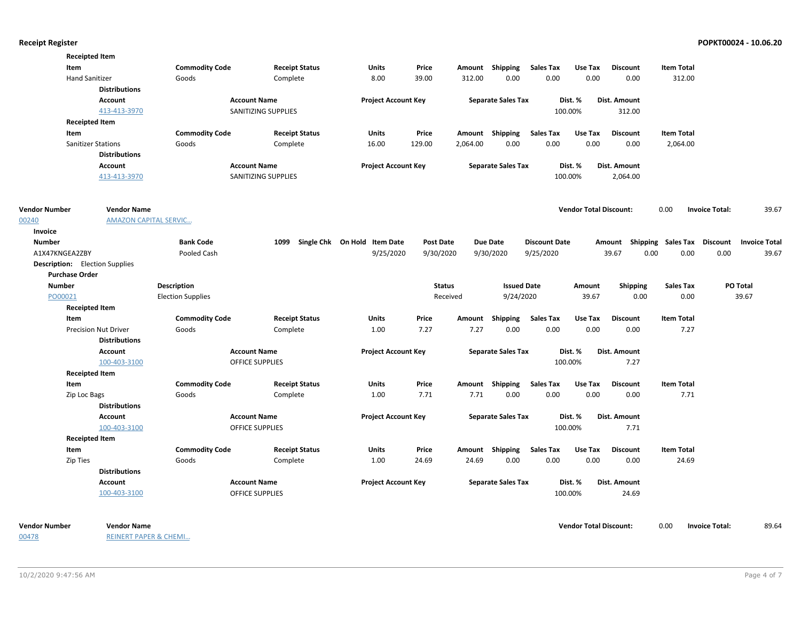|                                       | <b>Receipted Item</b>        |                          |                        |                              |                  |               |                           |                      |                               |                                    |                   |                       |                      |
|---------------------------------------|------------------------------|--------------------------|------------------------|------------------------------|------------------|---------------|---------------------------|----------------------|-------------------------------|------------------------------------|-------------------|-----------------------|----------------------|
| Item                                  |                              | <b>Commodity Code</b>    | <b>Receipt Status</b>  | Units                        | Price            |               | Amount Shipping           | <b>Sales Tax</b>     | Use Tax                       | <b>Discount</b>                    | <b>Item Total</b> |                       |                      |
| <b>Hand Sanitizer</b>                 |                              | Goods                    | Complete               | 8.00                         | 39.00            | 312.00        | 0.00                      | 0.00                 | 0.00                          | 0.00                               | 312.00            |                       |                      |
|                                       | <b>Distributions</b>         |                          |                        |                              |                  |               |                           |                      |                               |                                    |                   |                       |                      |
|                                       | Account                      |                          | <b>Account Name</b>    | <b>Project Account Key</b>   |                  |               | <b>Separate Sales Tax</b> |                      | Dist. %                       | Dist. Amount                       |                   |                       |                      |
|                                       | 413-413-3970                 |                          | SANITIZING SUPPLIES    |                              |                  |               |                           |                      | 100.00%                       | 312.00                             |                   |                       |                      |
|                                       | <b>Receipted Item</b>        |                          |                        |                              |                  |               |                           |                      |                               |                                    |                   |                       |                      |
| Item                                  |                              | <b>Commodity Code</b>    | <b>Receipt Status</b>  | Units                        | Price            |               | Amount Shipping           | <b>Sales Tax</b>     | Use Tax                       | <b>Discount</b>                    | <b>Item Total</b> |                       |                      |
|                                       | <b>Sanitizer Stations</b>    | Goods                    | Complete               | 16.00                        | 129.00           | 2,064.00      | 0.00                      | 0.00                 | 0.00                          | 0.00                               | 2,064.00          |                       |                      |
|                                       | <b>Distributions</b>         |                          |                        |                              |                  |               |                           |                      |                               |                                    |                   |                       |                      |
|                                       | Account                      |                          | <b>Account Name</b>    | <b>Project Account Key</b>   |                  |               | <b>Separate Sales Tax</b> |                      | Dist. %                       | Dist. Amount                       |                   |                       |                      |
|                                       | 413-413-3970                 |                          | SANITIZING SUPPLIES    |                              |                  |               |                           |                      | 100.00%                       | 2,064.00                           |                   |                       |                      |
| <b>Vendor Number</b>                  | <b>Vendor Name</b>           |                          |                        |                              |                  |               |                           |                      | <b>Vendor Total Discount:</b> |                                    | 0.00              | <b>Invoice Total:</b> | 39.67                |
| 00240                                 | <b>AMAZON CAPITAL SERVIC</b> |                          |                        |                              |                  |               |                           |                      |                               |                                    |                   |                       |                      |
| Invoice                               |                              |                          |                        |                              |                  |               |                           |                      |                               |                                    |                   |                       |                      |
| Number                                |                              | <b>Bank Code</b>         | 1099                   | Single Chk On Hold Item Date | <b>Post Date</b> |               | <b>Due Date</b>           | <b>Discount Date</b> |                               | Amount Shipping Sales Tax Discount |                   |                       | <b>Invoice Total</b> |
| A1X47KNGEA2ZBY                        |                              | Pooled Cash              |                        | 9/25/2020                    | 9/30/2020        |               | 9/30/2020                 | 9/25/2020            |                               | 39.67                              | 0.00<br>0.00      | 0.00                  | 39.67                |
| <b>Description:</b> Election Supplies |                              |                          |                        |                              |                  |               |                           |                      |                               |                                    |                   |                       |                      |
| <b>Purchase Order</b>                 |                              |                          |                        |                              |                  |               |                           |                      |                               |                                    |                   |                       |                      |
| <b>Number</b>                         |                              | Description              |                        |                              |                  | <b>Status</b> | <b>Issued Date</b>        |                      | Amount                        | <b>Shipping</b>                    | Sales Tax         |                       | PO Total             |
| PO00021                               |                              | <b>Election Supplies</b> |                        |                              |                  | Received      | 9/24/2020                 |                      | 39.67                         | 0.00                               | 0.00              |                       | 39.67                |
|                                       | <b>Receipted Item</b>        |                          |                        |                              |                  |               |                           |                      |                               |                                    |                   |                       |                      |
| Item                                  |                              | <b>Commodity Code</b>    | <b>Receipt Status</b>  | Units                        | Price            | Amount        | Shipping                  | <b>Sales Tax</b>     | Use Tax                       | <b>Discount</b>                    | <b>Item Total</b> |                       |                      |
|                                       | <b>Precision Nut Driver</b>  | Goods                    | Complete               | 1.00                         | 7.27             | 7.27          | 0.00                      | 0.00                 | 0.00                          | 0.00                               | 7.27              |                       |                      |
|                                       | <b>Distributions</b>         |                          |                        |                              |                  |               |                           |                      |                               |                                    |                   |                       |                      |
|                                       | Account                      |                          | <b>Account Name</b>    | <b>Project Account Key</b>   |                  |               | <b>Separate Sales Tax</b> |                      | Dist. %                       | Dist. Amount                       |                   |                       |                      |
|                                       | 100-403-3100                 |                          | <b>OFFICE SUPPLIES</b> |                              |                  |               |                           |                      | 100.00%                       | 7.27                               |                   |                       |                      |
|                                       | <b>Receipted Item</b>        |                          |                        |                              |                  |               |                           |                      |                               |                                    |                   |                       |                      |
| Item                                  |                              | <b>Commodity Code</b>    | <b>Receipt Status</b>  | <b>Units</b>                 | Price            |               | Amount Shipping           | <b>Sales Tax</b>     | Use Tax                       | <b>Discount</b>                    | <b>Item Total</b> |                       |                      |
| Zip Loc Bags                          |                              | Goods                    | Complete               | 1.00                         | 7.71             | 7.71          | 0.00                      | 0.00                 | 0.00                          | 0.00                               | 7.71              |                       |                      |
|                                       | <b>Distributions</b>         |                          |                        |                              |                  |               |                           |                      |                               |                                    |                   |                       |                      |
|                                       | Account                      |                          | <b>Account Name</b>    | <b>Project Account Key</b>   |                  |               | <b>Separate Sales Tax</b> |                      | Dist. %                       | Dist. Amount                       |                   |                       |                      |
|                                       | 100-403-3100                 |                          | OFFICE SUPPLIES        |                              |                  |               |                           |                      | 100.00%                       | 7.71                               |                   |                       |                      |
|                                       | <b>Receipted Item</b>        |                          |                        |                              |                  |               |                           |                      |                               |                                    |                   |                       |                      |
| Item                                  |                              | <b>Commodity Code</b>    | <b>Receipt Status</b>  | <b>Units</b>                 | Price            |               | Amount Shipping           | <b>Sales Tax</b>     | Use Tax                       | <b>Discount</b>                    | <b>Item Total</b> |                       |                      |
| Zip Ties                              |                              | Goods                    | Complete               | 1.00                         | 24.69            | 24.69         | 0.00                      | 0.00                 | 0.00                          | 0.00                               | 24.69             |                       |                      |
|                                       | <b>Distributions</b>         |                          |                        |                              |                  |               |                           |                      |                               |                                    |                   |                       |                      |
|                                       | Account                      |                          | <b>Account Name</b>    | <b>Project Account Key</b>   |                  |               | <b>Separate Sales Tax</b> |                      | Dist. %                       | Dist. Amount                       |                   |                       |                      |
|                                       | 100-403-3100                 |                          | <b>OFFICE SUPPLIES</b> |                              |                  |               |                           |                      | 100.00%                       | 24.69                              |                   |                       |                      |
|                                       |                              |                          |                        |                              |                  |               |                           |                      |                               |                                    |                   |                       |                      |

00478

REINERT PAPER & CHEMI…

**Vendor Number Vendor Total Discount:** 89.64 **Vendor Name** 0.00 **Invoice Total:**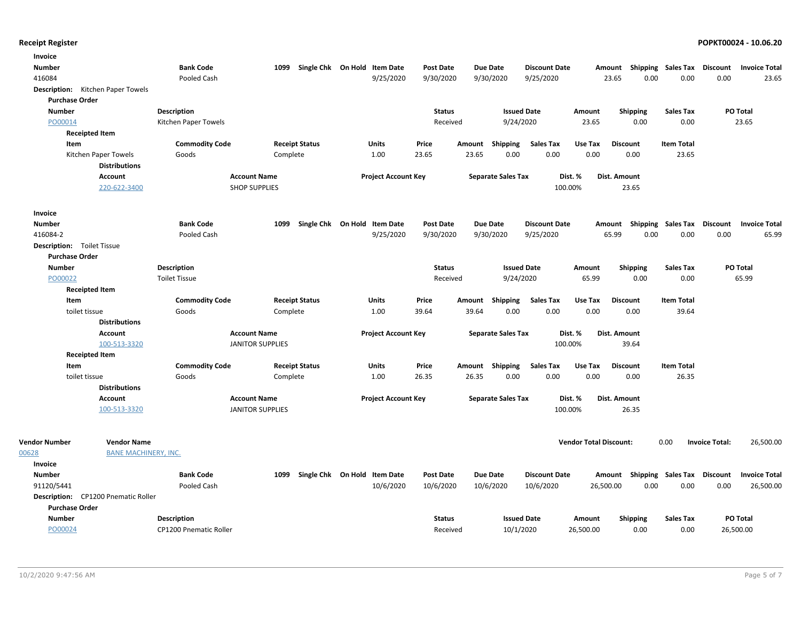| Invoice                                    |                               |                         |                              |                            |                  |        |                           |                      |                               |                                    |                    |                       |                      |
|--------------------------------------------|-------------------------------|-------------------------|------------------------------|----------------------------|------------------|--------|---------------------------|----------------------|-------------------------------|------------------------------------|--------------------|-----------------------|----------------------|
| <b>Number</b>                              | <b>Bank Code</b>              | 1099                    | Single Chk On Hold Item Date |                            | <b>Post Date</b> |        | <b>Due Date</b>           | <b>Discount Date</b> |                               | Amount                             | Shipping Sales Tax | Discount              | <b>Invoice Total</b> |
| 416084                                     | Pooled Cash                   |                         |                              | 9/25/2020                  | 9/30/2020        |        | 9/30/2020                 | 9/25/2020            |                               | 23.65<br>0.00                      | 0.00               | 0.00                  | 23.65                |
| <b>Description:</b> Kitchen Paper Towels   |                               |                         |                              |                            |                  |        |                           |                      |                               |                                    |                    |                       |                      |
| <b>Purchase Order</b>                      |                               |                         |                              |                            |                  |        |                           |                      |                               |                                    |                    |                       |                      |
| <b>Number</b>                              | <b>Description</b>            |                         |                              |                            | <b>Status</b>    |        | <b>Issued Date</b>        |                      | Amount                        | <b>Shipping</b>                    | <b>Sales Tax</b>   |                       | PO Total             |
| PO00014                                    | Kitchen Paper Towels          |                         |                              |                            | Received         |        | 9/24/2020                 |                      | 23.65                         | 0.00                               | 0.00               |                       | 23.65                |
| <b>Receipted Item</b>                      |                               |                         |                              |                            |                  |        |                           |                      |                               |                                    |                    |                       |                      |
| Item                                       | <b>Commodity Code</b>         | <b>Receipt Status</b>   |                              | <b>Units</b>               | Price            | Amount | <b>Shipping</b>           | <b>Sales Tax</b>     | Use Tax                       | <b>Discount</b>                    | <b>Item Total</b>  |                       |                      |
| Kitchen Paper Towels                       | Goods                         | Complete                |                              | 1.00                       | 23.65            | 23.65  | 0.00                      | 0.00                 | 0.00                          | 0.00                               | 23.65              |                       |                      |
| <b>Distributions</b>                       |                               |                         |                              |                            |                  |        |                           |                      |                               |                                    |                    |                       |                      |
| Account                                    |                               | <b>Account Name</b>     |                              | <b>Project Account Key</b> |                  |        | <b>Separate Sales Tax</b> | Dist. %              |                               | Dist. Amount                       |                    |                       |                      |
| 220-622-3400                               |                               | <b>SHOP SUPPLIES</b>    |                              |                            |                  |        |                           | 100.00%              |                               | 23.65                              |                    |                       |                      |
| Invoice                                    |                               |                         |                              |                            |                  |        |                           |                      |                               |                                    |                    |                       |                      |
| <b>Number</b>                              | <b>Bank Code</b>              | 1099                    | Single Chk On Hold Item Date |                            | <b>Post Date</b> |        | <b>Due Date</b>           | <b>Discount Date</b> | Amount                        |                                    | Shipping Sales Tax | <b>Discount</b>       | <b>Invoice Total</b> |
| 416084-2                                   | Pooled Cash                   |                         |                              | 9/25/2020                  | 9/30/2020        |        | 9/30/2020                 | 9/25/2020            |                               | 65.99<br>0.00                      | 0.00               | 0.00                  | 65.99                |
| <b>Description:</b> Toilet Tissue          |                               |                         |                              |                            |                  |        |                           |                      |                               |                                    |                    |                       |                      |
| <b>Purchase Order</b>                      |                               |                         |                              |                            |                  |        |                           |                      |                               |                                    |                    |                       |                      |
| <b>Number</b>                              | <b>Description</b>            |                         |                              |                            | <b>Status</b>    |        | <b>Issued Date</b>        |                      | Amount                        | Shipping                           | <b>Sales Tax</b>   |                       | PO Total             |
| PO00022                                    | <b>Toilet Tissue</b>          |                         |                              |                            | Received         |        | 9/24/2020                 |                      | 65.99                         | 0.00                               | 0.00               |                       | 65.99                |
| <b>Receipted Item</b>                      |                               |                         |                              |                            |                  |        |                           |                      |                               |                                    |                    |                       |                      |
| Item                                       | <b>Commodity Code</b>         | <b>Receipt Status</b>   |                              | Units                      | Price            | Amount | <b>Shipping</b>           | <b>Sales Tax</b>     | Use Tax                       | <b>Discount</b>                    | <b>Item Total</b>  |                       |                      |
| toilet tissue                              | Goods                         | Complete                |                              | 1.00                       | 39.64            | 39.64  | 0.00                      | 0.00                 | 0.00                          | 0.00                               | 39.64              |                       |                      |
| <b>Distributions</b>                       |                               |                         |                              |                            |                  |        |                           |                      |                               |                                    |                    |                       |                      |
| Account                                    |                               | <b>Account Name</b>     |                              | <b>Project Account Key</b> |                  |        | <b>Separate Sales Tax</b> | Dist. %              |                               | Dist. Amount                       |                    |                       |                      |
| 100-513-3320                               |                               | <b>JANITOR SUPPLIES</b> |                              |                            |                  |        |                           | 100.00%              |                               | 39.64                              |                    |                       |                      |
| <b>Receipted Item</b>                      |                               |                         |                              |                            |                  |        |                           |                      |                               |                                    |                    |                       |                      |
| Item                                       | <b>Commodity Code</b>         | <b>Receipt Status</b>   |                              | Units                      | Price            | Amount | Shipping                  | <b>Sales Tax</b>     | Use Tax                       | <b>Discount</b>                    | <b>Item Total</b>  |                       |                      |
| toilet tissue                              | Goods                         | Complete                |                              | 1.00                       | 26.35            | 26.35  | 0.00                      | 0.00                 | 0.00                          | 0.00                               | 26.35              |                       |                      |
| <b>Distributions</b>                       |                               |                         |                              |                            |                  |        |                           |                      |                               |                                    |                    |                       |                      |
| Account                                    |                               | <b>Account Name</b>     |                              | <b>Project Account Key</b> |                  |        | <b>Separate Sales Tax</b> | Dist. %              |                               | Dist. Amount                       |                    |                       |                      |
| 100-513-3320                               |                               | <b>JANITOR SUPPLIES</b> |                              |                            |                  |        |                           | 100.00%              |                               | 26.35                              |                    |                       |                      |
| <b>Vendor Number</b><br><b>Vendor Name</b> |                               |                         |                              |                            |                  |        |                           |                      | <b>Vendor Total Discount:</b> |                                    | 0.00               | <b>Invoice Total:</b> | 26,500.00            |
| 00628<br><b>BANE MACHINERY, INC.</b>       |                               |                         |                              |                            |                  |        |                           |                      |                               |                                    |                    |                       |                      |
| Invoice                                    |                               |                         |                              |                            |                  |        |                           |                      |                               |                                    |                    |                       |                      |
| <b>Number</b>                              | <b>Bank Code</b>              | 1099                    | Single Chk On Hold Item Date |                            | <b>Post Date</b> |        | <b>Due Date</b>           | <b>Discount Date</b> |                               | Amount Shipping Sales Tax Discount |                    |                       | <b>Invoice Total</b> |
| 91120/5441                                 | Pooled Cash                   |                         |                              | 10/6/2020                  | 10/6/2020        |        | 10/6/2020                 | 10/6/2020            | 26,500.00                     | 0.00                               | 0.00               | 0.00                  | 26,500.00            |
| Description: CP1200 Pnematic Roller        |                               |                         |                              |                            |                  |        |                           |                      |                               |                                    |                    |                       |                      |
| <b>Purchase Order</b>                      |                               |                         |                              |                            |                  |        |                           |                      |                               |                                    |                    |                       |                      |
| <b>Number</b>                              | <b>Description</b>            |                         |                              |                            | <b>Status</b>    |        | <b>Issued Date</b>        |                      | Amount                        | Shipping                           | <b>Sales Tax</b>   |                       | PO Total             |
|                                            | <b>CP1200 Pnematic Roller</b> |                         |                              |                            | Received         |        | 10/1/2020                 |                      |                               | 0.00                               | 0.00               |                       |                      |
| PO00024                                    |                               |                         |                              |                            |                  |        |                           |                      | 26,500.00                     |                                    |                    |                       | 26,500.00            |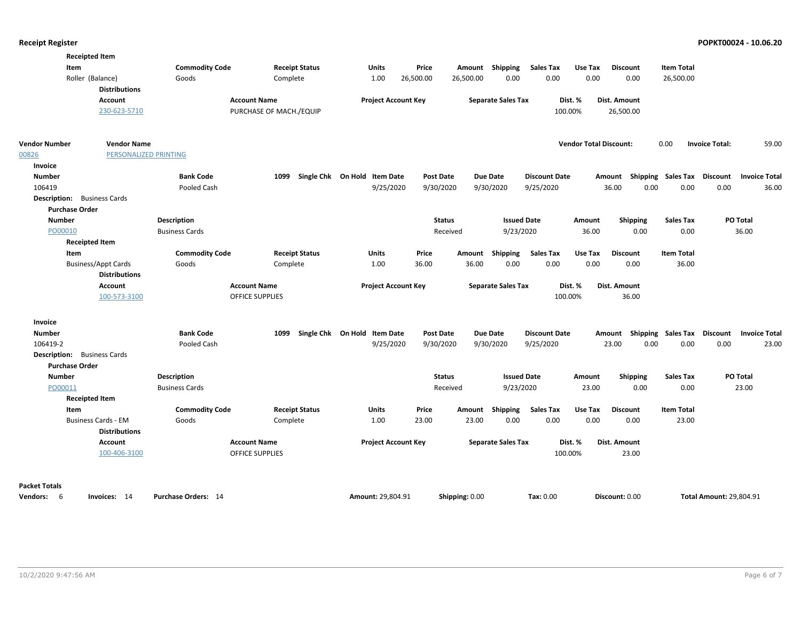| <b>Receipted Item</b>                              |                       |                         |                              |                  |                |                           |                      |                               |                                    |                   |                                |                      |
|----------------------------------------------------|-----------------------|-------------------------|------------------------------|------------------|----------------|---------------------------|----------------------|-------------------------------|------------------------------------|-------------------|--------------------------------|----------------------|
| Item                                               | <b>Commodity Code</b> | <b>Receipt Status</b>   | <b>Units</b>                 | Price            |                | Amount Shipping           | <b>Sales Tax</b>     | Use Tax                       | <b>Discount</b>                    | <b>Item Total</b> |                                |                      |
| Roller (Balance)                                   | Goods                 | Complete                | 1.00                         | 26,500.00        | 26,500.00      | 0.00                      | 0.00                 | 0.00                          | 0.00                               | 26,500.00         |                                |                      |
| <b>Distributions</b>                               |                       |                         |                              |                  |                |                           |                      |                               |                                    |                   |                                |                      |
| Account                                            | <b>Account Name</b>   |                         | <b>Project Account Key</b>   |                  |                | <b>Separate Sales Tax</b> |                      | Dist. %                       | Dist. Amount                       |                   |                                |                      |
| 230-623-5710                                       |                       | PURCHASE OF MACH./EQUIP |                              |                  |                |                           |                      | 100.00%                       | 26,500.00                          |                   |                                |                      |
| <b>Vendor Number</b><br><b>Vendor Name</b>         |                       |                         |                              |                  |                |                           |                      | <b>Vendor Total Discount:</b> |                                    | 0.00              | <b>Invoice Total:</b>          | 59.00                |
| 00826<br>PERSONALIZED PRINTING                     |                       |                         |                              |                  |                |                           |                      |                               |                                    |                   |                                |                      |
| Invoice                                            |                       |                         |                              |                  |                |                           |                      |                               |                                    |                   |                                |                      |
| <b>Number</b>                                      | <b>Bank Code</b>      | 1099                    | Single Chk On Hold Item Date | <b>Post Date</b> |                | Due Date                  | <b>Discount Date</b> |                               | Amount Shipping Sales Tax          |                   | Discount                       | <b>Invoice Total</b> |
| 106419                                             | Pooled Cash           |                         | 9/25/2020                    | 9/30/2020        |                | 9/30/2020                 | 9/25/2020            |                               | 36.00<br>0.00                      | 0.00              | 0.00                           | 36.00                |
| <b>Description:</b> Business Cards                 |                       |                         |                              |                  |                |                           |                      |                               |                                    |                   |                                |                      |
| <b>Purchase Order</b>                              |                       |                         |                              |                  |                |                           |                      |                               |                                    |                   |                                |                      |
| <b>Number</b>                                      | <b>Description</b>    |                         |                              | <b>Status</b>    |                | <b>Issued Date</b>        |                      | Amount                        | <b>Shipping</b>                    | <b>Sales Tax</b>  | PO Total                       |                      |
| PO00010                                            | <b>Business Cards</b> |                         |                              | Received         |                | 9/23/2020                 |                      | 36.00                         | 0.00                               | 0.00              |                                | 36.00                |
| <b>Receipted Item</b>                              |                       |                         |                              |                  |                |                           |                      |                               |                                    |                   |                                |                      |
| Item                                               | <b>Commodity Code</b> | <b>Receipt Status</b>   | Units                        | Price            |                | Amount Shipping           | <b>Sales Tax</b>     | Use Tax                       | <b>Discount</b>                    | <b>Item Total</b> |                                |                      |
| <b>Business/Appt Cards</b>                         | Goods                 | Complete                | 1.00                         | 36.00            | 36.00          | 0.00                      | 0.00                 | 0.00                          | 0.00                               | 36.00             |                                |                      |
| <b>Distributions</b>                               |                       |                         |                              |                  |                |                           |                      |                               |                                    |                   |                                |                      |
| Account                                            | <b>Account Name</b>   |                         | <b>Project Account Key</b>   |                  |                | <b>Separate Sales Tax</b> |                      | Dist. %                       | Dist. Amount                       |                   |                                |                      |
| 100-573-3100                                       |                       | OFFICE SUPPLIES         |                              |                  |                |                           | 100.00%              |                               | 36.00                              |                   |                                |                      |
| Invoice                                            |                       |                         |                              |                  |                |                           |                      |                               |                                    |                   |                                |                      |
| <b>Number</b>                                      | <b>Bank Code</b>      | 1099                    | Single Chk On Hold Item Date | <b>Post Date</b> |                | <b>Due Date</b>           | <b>Discount Date</b> |                               | Amount Shipping Sales Tax Discount |                   |                                | <b>Invoice Total</b> |
| 106419-2                                           | Pooled Cash           |                         | 9/25/2020                    | 9/30/2020        |                | 9/30/2020                 | 9/25/2020            |                               | 23.00<br>0.00                      | 0.00              | 0.00                           | 23.00                |
| <b>Description:</b> Business Cards                 |                       |                         |                              |                  |                |                           |                      |                               |                                    |                   |                                |                      |
| <b>Purchase Order</b>                              |                       |                         |                              |                  |                |                           |                      |                               |                                    |                   |                                |                      |
| <b>Number</b>                                      | <b>Description</b>    |                         |                              | <b>Status</b>    |                | <b>Issued Date</b>        |                      | Amount                        | <b>Shipping</b>                    | <b>Sales Tax</b>  | PO Total                       |                      |
| PO00011                                            | <b>Business Cards</b> |                         |                              | Received         |                | 9/23/2020                 |                      | 23.00                         | 0.00                               | 0.00              |                                | 23.00                |
| <b>Receipted Item</b>                              |                       |                         |                              |                  |                |                           |                      |                               |                                    |                   |                                |                      |
| Item                                               | <b>Commodity Code</b> | <b>Receipt Status</b>   | Units                        | Price            |                | Amount Shipping           | <b>Sales Tax</b>     | Use Tax                       | <b>Discount</b>                    | <b>Item Total</b> |                                |                      |
| <b>Business Cards - EM</b><br><b>Distributions</b> | Goods                 | Complete                | 1.00                         | 23.00            | 23.00          | 0.00                      | 0.00                 | 0.00                          | 0.00                               | 23.00             |                                |                      |
| <b>Account</b>                                     | <b>Account Name</b>   |                         | <b>Project Account Key</b>   |                  |                | <b>Separate Sales Tax</b> |                      | Dist. %                       | Dist. Amount                       |                   |                                |                      |
| 100-406-3100                                       |                       | OFFICE SUPPLIES         |                              |                  |                |                           |                      | 100.00%                       | 23.00                              |                   |                                |                      |
| <b>Packet Totals</b>                               |                       |                         |                              |                  |                |                           |                      |                               |                                    |                   |                                |                      |
| Vendors: 6<br>Invoices: 14                         | Purchase Orders: 14   |                         | Amount: 29,804.91            |                  | Shipping: 0.00 |                           | Tax: 0.00            |                               | Discount: 0.00                     |                   | <b>Total Amount: 29,804.91</b> |                      |